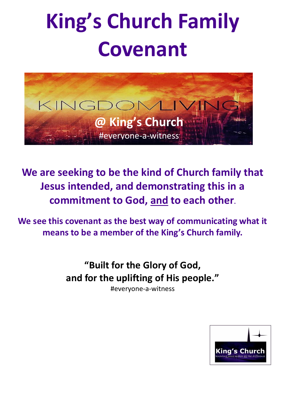# **King's Church Family Covenant**



**We are seeking to be the kind of Church family that Jesus intended, and demonstrating this in a commitment to God, and to each other.**

**We see this covenant as the best way of communicating what it means to be a member of the King's Church family.**

> **"Built for the Glory of God, and for the uplifting of His people."**

> > #everyone-a-witness

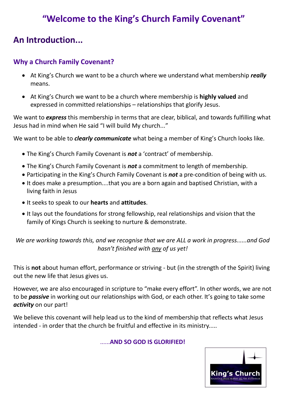# **"Welcome to the King's Church Family Covenant"**

# **An Introduction...**

### **Why a Church Family Covenant?**

- At King's Church we want to be a church where we understand what membership *really* means.
- At King's Church we want to be a church where membership is **highly valued** and expressed in committed relationships – relationships that glorify Jesus.

We want to *express* this membership in terms that are clear, biblical, and towards fulfilling what Jesus had in mind when He said "I will build My church..."

We want to be able to *clearly communicate* what being a member of King's Church looks like.

- The King's Church Family Covenant is *not* a 'contract' of membership.
- The King's Church Family Covenant is *not* a commitment to length of membership.
- Participating in the King's Church Family Covenant is *not* a pre-condition of being with us.
- It does make a presumption....that you are a born again and baptised Christian, with a living faith in Jesus
- It seeks to speak to our **hearts** and **attitudes**.
- It lays out the foundations for strong fellowship, real relationships and vision that the family of Kings Church is seeking to nurture & demonstrate.

*We are working towards this, and we recognise that we are ALL a work in progress......and God hasn't finished with any of us yet!*

This is **not** about human effort, performance or striving - but (in the strength of the Spirit) living out the new life that Jesus gives us.

However, we are also encouraged in scripture to "make every effort". In other words, we are not to be *passive* in working out our relationships with God, or each other. It's going to take some *activity* on our part!

We believe this covenant will help lead us to the kind of membership that reflects what Jesus intended - in order that the church be fruitful and effective in its ministry.....

#### ......**AND SO GOD IS GLORIFIED!**

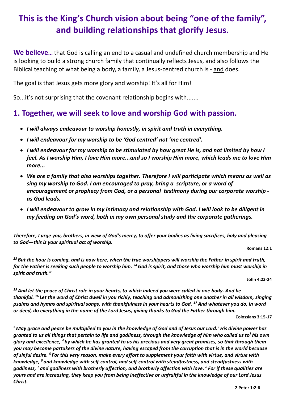# **This is the King's Church vision about being "one of the family" , and building relationships that glorify Jesus.**

**We believe...** that God is calling an end to a casual and undefined church membership and He is looking to build a strong church family that continually reflects Jesus, and also follows the Biblical teaching of what being a body, a family, a Jesus-centred church is - and does.

The goal is that Jesus gets more glory and worship! It's all for Him!

So...it's not surprising that the covenant relationship begins with.......

## **1. Together, we will seek to love and worship God with passion***.*

- *I will always endeavour to worship honestly, in spirit and truth in everything.*
- *I will endeavour for my worship to be 'God centred' not 'me centred'.*
- *I will endeavour for my worship to be stimulated by how great He is, and not limited by how I feel. As I worship Him, I love Him more...and so I worship Him more, which leads me to love Him more...*
- *We are a family that also worships together. Therefore I will participate which means as well as sing my worship to God. I am encouraged to pray, bring a scripture, or a word of encouragement or prophecy from God, or a personal testimony during our corporate worship as God leads.*
- *I will endeavour to grow in my intimacy and relationship with God. I will look to be diligent in my feeding on God's word, both in my own personal study and the corporate gatherings.*

*Therefore, I urge you, brothers, in view of God's mercy, to offer your bodies as living sacrifices, holy and pleasing to God—this is your spiritual act of worship.*

**Romans 12:1**

*<sup>23</sup> But the hour is coming, and is now here, when the true worshippers will worship the Father in spirit and truth, for the Father is seeking such people to worship him. <sup>24</sup>God is spirit, and those who worship him must worship in spirit and truth."*

**John 4:23-24**

*<sup>15</sup>And let the peace of Christ rule in your hearts, to which indeed you were called in one body. And be thankful. <sup>16</sup> Let the word of Christ dwell in you richly, teaching and admonishing one another in all wisdom, singing psalms and hymns and spiritual songs, with thankfulness in your hearts to God. <sup>17</sup>And whatever you do, in word or deed, do everything in the name of the Lord Jesus, giving thanks to God the Father through him.*

**Colossians 3:15-17**

*<sup>2</sup> May grace and peace be multiplied to you in the knowledge of God and of Jesus our Lord.<sup>3</sup>His divine power has granted to us all things that pertain to life and godliness, through the knowledge of him who called us to ] his own glory and excellence, <sup>4</sup> by which he has granted to us his precious and very great promises, so that through them you may become partakers of the divine nature, having escaped from the corruption that is in the world because of sinful desire. <sup>5</sup> For this very reason, make every effort to supplement your faith with virtue, and virtue with knowledge, <sup>6</sup> and knowledge with self-control, and self-control with steadfastness, and steadfastness with godliness, <sup>7</sup> and godliness with brotherly affection, and brotherly affection with love. <sup>8</sup> For if these qualities are yours and are increasing, they keep you from being ineffective or unfruitful in the knowledge of our Lord Jesus Christ.*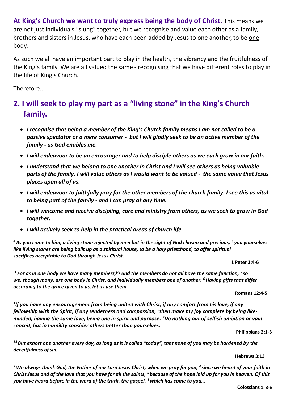**At King's Church we want to truly express being the body of Christ.** This means we are not just individuals "slung" together, but we recognise and value each other as a family, brothers and sisters in Jesus, who have each been added by Jesus to one another, to be one body.

As such we all have an important part to play in the health, the vibrancy and the fruitfulness of the King's family. We are all valued the same - recognising that we have different roles to play in the life of King's Church.

Therefore...

# **2. I will seek to play my part as a "living stone" in the King's Church family.**

- *I recognise that being a member of the King's Church family means I am not called to be a passive spectator or a mere consumer - but I will gladly seek to be an active member of the family - as God enables me.*
- *I will endeavour to be an encourager and to help disciple others as we each grow in our faith.*
- *I understand that we belong to one another in Christ and I will see others as being valuable parts of the family. I will value others as I would want to be valued - the same value that Jesus places upon all of us.*
- *I will endeavour to faithfully pray for the other members of the church family. I see this as vital to being part of the family - and I can pray at any time.*
- *I will welcome and receive discipling, care and ministry from others, as we seek to grow in God together.*
- *I will actively seek to help in the practical areas of church life.*

*<sup>4</sup>As you come to him, a living stone rejected by men but in the sight of God chosen and precious, <sup>5</sup> you yourselves like living stones are being built up as a spiritual house, to be a holy priesthood, to offer spiritual sacrifices acceptable to God through Jesus Christ.*

**1 Peter 2:4-6**

*<sup>4</sup> For as in one body we have many members,[\[e\]](https://www.biblegateway.com/passage/?search=romans+12&version=ESVUK#fen-ESVUK-28234e) and the members do not all have the same function, <sup>5</sup> so we, though many, are one body in Christ, and individually members one of another. <sup>6</sup>Having gifts that differ according to the grace given to us, let us use them.*

**Romans 12:4-5**

*1 If you have any encouragement from being united with Christ, if any comfort from his love, if any fellowship with the Spirit, if any tenderness and compassion, <sup>2</sup> then make my joy complete by being likeminded, having the same love, being one in spirit and purpose. <sup>3</sup>Do nothing out of selfish ambition or vain conceit, but in humility consider others better than yourselves.*

**Philippians 2:1-3**

*<sup>13</sup> But exhort one another every day, as long as it is called "today", that none of you may be hardened by the deceitfulness of sin.*

#### **Hebrews 3:13**

*<sup>3</sup>We always thank God, the Father of our Lord Jesus Christ, when we pray for you, <sup>4</sup> since we heard of your faith in Christ Jesus and of the love that you have for all the saints, <sup>5</sup> because of the hope laid up for you in heaven. Of this you have heard before in the word of the truth, the gospel, <sup>6</sup>which has come to you…*

**Colossians 1: 3-6**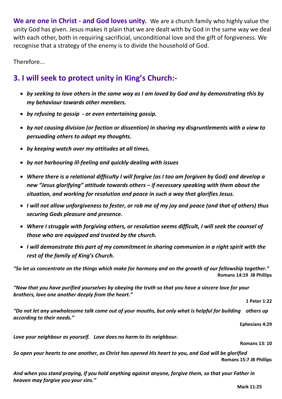**We are one in Christ - and God loves unity.** We are a church family who highly value the unity God has given. Jesus makes it plain that we are dealt with by God in the same way we deal with each other, both in requiring sacrificial, unconditional love and the gift of forgiveness. We recognise that a strategy of the enemy is to divide the household of God.

Therefore...

## **3. I will seek to protect unity in King's Church:-**

- *by seeking to love others in the same way as I am loved by God and by demonstrating this by my behaviour towards other members.*
- *by refusing to gossip - or even entertaining gossip.*
- *by not causing division (or faction or dissention) in sharing my disgruntlements with a view to persuading others to adopt my thoughts.*
- *by keeping watch over my attitudes at all times.*
- *by not harbouring ill-feeling and quickly dealing with issues*
- *Where there is a relational difficulty I will forgive (as I too am forgiven by God) and develop a new "Jesus glorifying" attitude towards others – if necessary speaking with them about the situation, and working for resolution and peace in such a way that glorifies Jesus.*
- *I will not allow unforgiveness to fester, or rob me of my joy and peace (and that of others) thus securing Gods pleasure and presence.*
- *Where I struggle with forgiving others, or resolution seems difficult, I will seek the counsel of those who are equipped and trusted by the church.*
- *I will demonstrate this part of my commitment in sharing communion in a right spirit with the rest of the family of King's Church.*

*"So let us concentrate on the things which make for harmony and on the growth of our fellowship together."* **Romans 14:19 JB Phillips**

*"Now that you have purified yourselves by obeying the truth so that you have a sincere love for your brothers, love one another deeply from the heart."*

**1 Peter 1:22**

*"Do not let any unwholesome talk come out of your mouths, but only what is helpful for building others up according to their needs."*

**Ephesians 4:29**

*Love your neighbour as yourself. Love does no harm to its neighbour.* 

**Romans 13: 10**

*So open your hearts to one another, as Christ has opened His heart to you, and God will be glorified* **Romans 15:7 JB Phillips**

*And when you stand praying, if you hold anything against anyone, forgive them, so that your Father in heaven may forgive you your sins."*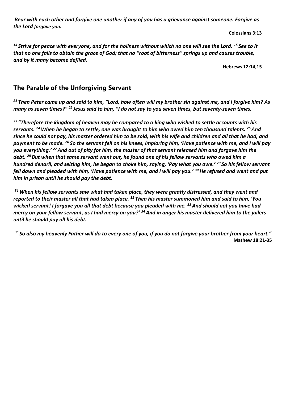*Bear with each other and forgive one another if any of you has a grievance against someone. Forgive as the Lord forgave you.*

 **Colossians 3:13**

*<sup>14</sup> Strive for peace with everyone, and for the holiness without which no one will see the Lord. <sup>15</sup> See to it that no one fails to obtain the grace of God; that no "root of bitterness" springs up and causes trouble, and by it many become defiled.*

**Hebrews 12:14,15**

#### **The Parable of the Unforgiving Servant**

*<sup>21</sup> Then Peter came up and said to him, "Lord, how often will my brother sin against me, and I forgive him? As many as seven times?" <sup>22</sup> Jesus said to him, "I do not say to you seven times, but seventy-seven times.*

*<sup>23</sup> "Therefore the kingdom of heaven may be compared to a king who wished to settle accounts with his servants. <sup>24</sup>When he began to settle, one was brought to him who owed him ten thousand talents. <sup>25</sup>And since he could not pay, his master ordered him to be sold, with his wife and children and all that he had, and payment to be made. <sup>26</sup> So the servant fell on his knees, imploring him, 'Have patience with me, and I will pay you everything.' <sup>27</sup>And out of pity for him, the master of that servant released him and forgave him the debt. <sup>28</sup> But when that same servant went out, he found one of his fellow servants who owed him a hundred denarii, and seizing him, he began to choke him, saying, 'Pay what you owe.' <sup>29</sup> So his fellow servant fell down and pleaded with him, 'Have patience with me, and I will pay you.' <sup>30</sup>He refused and went and put him in prison until he should pay the debt.*

*<sup>31</sup>When his fellow servants saw what had taken place, they were greatly distressed, and they went and reported to their master all that had taken place. <sup>32</sup> Then his master summoned him and said to him, 'You wicked servant! I forgave you all that debt because you pleaded with me. <sup>33</sup>And should not you have had mercy on your fellow servant, as I had mercy on you?' <sup>34</sup>And in anger his master delivered him to the jailers until he should pay all his debt.*

*<sup>35</sup> So also my heavenly Father will do to every one of you, if you do not forgive your brother from your heart."* **Mathew 18:21-35**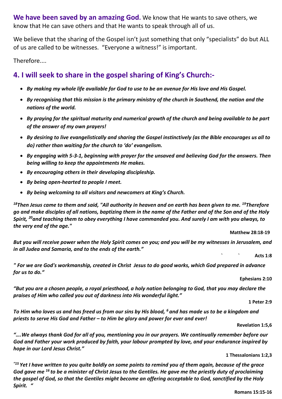**We have been saved by an amazing God.** We know that He wants to save others, we know that He can save others and that He wants to speak through all of us.

We believe that the sharing of the Gospel isn't just something that only "specialists" do but ALL of us are called to be witnesses. "Everyone a witness!" is important.

Therefore....

## **4. I will seek to share in the gospel sharing of King's Church:-**

- *By making my whole life available for God to use to be an avenue for His love and His Gospel.*
- *By recognising that this mission is the primary ministry of the church in Southend, the nation and the nations of the world.*
- *By praying for the spiritual maturity and numerical growth of the church and being available to be part of the answer of my own prayers!*
- *By desiring to live evangelistically and sharing the Gospel instinctively (as the Bible encourages us all to do) rather than waiting for the church to 'do' evangelism.*
- *By engaging with 5-3-1, beginning with prayer for the unsaved and believing God for the answers. Then being willing to keep the appointments He makes.*
- *By encouraging others in their developing discipleship.*
- *By being open-hearted to people I meet.*
- *By being welcoming to all visitors and newcomers at King's Church.*

<sup>18</sup>*Then Jesus came to them and said, "All authority in heaven and on earth has been given to me. <sup>19</sup><i>Therefore go and make disciples of all nations, baptizing them in the name of the Father and of the Son and of the Holy Spirit, <sup>20</sup>and teaching them to obey everything I have commanded you. And surely I am with you always, to the very end of the age."*

**Matthew 28:18-19**

*But you will receive power when the Holy Spirit comes on you; and you will be my witnesses in Jerusalem, and in all Judea and Samaria, and to the ends of the earth."*

*` `* **Acts 1:8**

*" For we are God's workmanship, created in Christ Jesus to do good works, which God prepared in advance for us to do."*

#### **Ephesians 2:10**

*"But you are a chosen people, a royal priesthood, a holy nation belonging to God, that you may declare the praises of Him who called you out of darkness into His wonderful light."* 

**1 Peter 2:9**

*To Him who loves us and has freed us from our sins by His blood, <sup>6</sup> and has made us to be a kingdom and priests to serve His God and Father – to Him be glory and power for ever and ever!* 

#### **Revelation 1:5,6**

*"….We always thank God for all of you, mentioning you in our prayers. We continually remember before our God and Father your work produced by faith, your labour prompted by love, and your endurance inspired by hope in our Lord Jesus Christ."*

#### **1 Thessalonians 1:2,3**

*"15 Yet I have written to you quite boldly on some points to remind you of them again, because of the grace God gave me <sup>16</sup> to be a minister of Christ Jesus to the Gentiles. He gave me the priestly duty of proclaiming the gospel of God, so that the Gentiles might become an offering acceptable to God, sanctified by the Holy Spirit. "*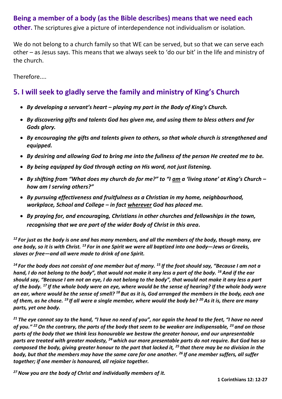#### **Being a member of a body (as the Bible describes) means that we need each**

**other.** The scriptures give a picture of interdependence not individualism or isolation.

We do not belong to a church family so that WE can be served, but so that we can serve each other – as Jesus says. This means that we always seek to 'do our bit' in the life and ministry of the church.

Therefore....

#### **5. I will seek to gladly serve the family and ministry of King's Church**

- *By developing a servant's heart – playing my part in the Body of King's Church.*
- *By discovering gifts and talents God has given me, and using them to bless others and for Gods glory.*
- *By encouraging the gifts and talents given to others, so that whole church is strengthened and equipped.*
- *By desiring and allowing God to bring me into the fullness of the person He created me to be.*
- *By being equipped by God through acting on His word, not just listening.*
- *By shifting from "What does my church do for me?" to "I am a 'living stone' at King's Church – how am I serving others?"*
- *By pursuing effectiveness and fruitfulness as a Christian in my home, neighbourhood, workplace, School and College – in fact wherever God has placed me.*
- *By praying for, and encouraging, Christians in other churches and fellowships in the town, recognising that we are part of the wider Body of Christ in this area.*

*<sup>12</sup> For just as the body is one and has many members, and all the members of the body, though many, are one body, so it is with Christ. <sup>13</sup> For in one Spirit we were all baptized into one body—Jews or Greeks, slaves or free—and all were made to drink of one Spirit.*

*<sup>14</sup> For the body does not consist of one member but of many. <sup>15</sup> If the foot should say, "Because I am not a hand, I do not belong to the body", that would not make it any less a part of the body. <sup>16</sup>And if the ear should say, "Because I am not an eye, I do not belong to the body", that would not make it any less a part of the body. <sup>17</sup> If the whole body were an eye, where would be the sense of hearing? If the whole body were an ear, where would be the sense of smell? <sup>18</sup> But as it is, God arranged the members in the body, each one of them, as he chose. <sup>19</sup> If all were a single member, where would the body be? <sup>20</sup>As it is, there are many parts, yet one body.*

*<sup>21</sup> The eye cannot say to the hand, "I have no need of you", nor again the head to the feet, "I have no need of you." <sup>22</sup>On the contrary, the parts of the body that seem to be weaker are indispensable, <sup>23</sup> and on those parts of the body that we think less honourable we bestow the greater honour, and our unpresentable parts are treated with greater modesty, <sup>24</sup>which our more presentable parts do not require. But God has so composed the body, giving greater honour to the part that lacked it, <sup>25</sup> that there may be no division in the body, but that the members may have the same care for one another. <sup>26</sup> If one member suffers, all suffer together; if one member is honoured, all rejoice together.*

*<sup>27</sup>Now you are the body of Christ and individually members of it.*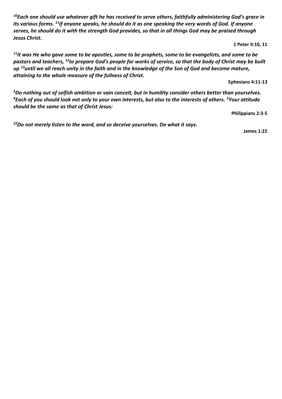*<sup>10</sup>Each one should use whatever gift he has received to serve others, faithfully administering God's grace in its various forms. <sup>11</sup>If anyone speaks, he should do it as one speaking the very words of God. If anyone serves, he should do it with the strength God provides, so that in all things God may be praised through Jesus Christ.*

**1 Peter 4:10, 11**

*<sup>11</sup>It was He who gave some to be apostles, some to be prophets, some to be evangelists, and some to be pastors and teachers, <sup>12</sup>to prepare God's people for works of service, so that the body of Christ may be built up <sup>13</sup>until we all reach unity in the faith and in the knowledge of the Son of God and become mature, attaining to the whole measure of the fullness of Christ.*

**Ephesians 4:11-13**

*<sup>3</sup>Do nothing out of selfish ambition or vain conceit, but in humility consider others better than yourselves. <sup>4</sup>Each of you should look not only to your own interests, but also to the interests of others. <sup>5</sup>Your attitude should be the same as that of Christ Jesus:* 

**Philippians 2:3-5**

*<sup>22</sup>Do not merely listen to the word, and so deceive yourselves. Do what it says.* 

**James 1:22**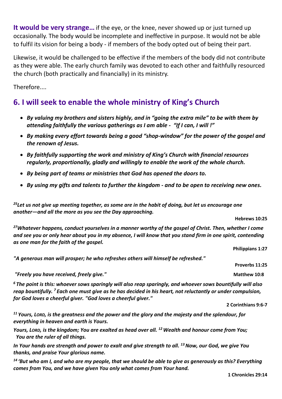**It would be very strange…** if the eye, or the knee, never showed up or just turned up occasionally. The body would be incomplete and ineffective in purpose. It would not be able to fulfil its vision for being a body - if members of the body opted out of being their part.

Likewise, it would be challenged to be effective if the members of the body did not contribute as they were able. The early church family was devoted to each other and faithfully resourced the church (both practically and financially) in its ministry.

Therefore....

## **6. I will seek to enable the whole ministry of King's Church**

- *By valuing my brothers and sisters highly, and in "going the extra mile" to be with them by attending faithfully the various gatherings as I am able - "If I can, I will !"*
- *By making every effort towards being a good "shop-window" for the power of the gospel and the renown of Jesus.*
- *By faithfully supporting the work and ministry of King's Church with financial resources regularly, proportionally, gladly and willingly to enable the work of the whole church.*
- *By being part of teams or ministries that God has opened the doors to.*
- *By using my gifts and talents to further the kingdom - and to be open to receiving new ones.*

*<sup>25</sup>Let us not give up meeting together, as some are in the habit of doing, but let us encourage one another—and all the more as you see the Day approaching.*

**Hebrews 10:25**

*<sup>27</sup>Whatever happens, conduct yourselves in a manner worthy of the gospel of Christ. Then, whether I come and see you or only hear about you in my absence, I will know that you stand firm in one spirit, contending as one man for the faith of the gospel.*

**Philippians 1:27**

**Proverbs 11:25** 

*"A generous man will prosper; he who refreshes others will himself be refreshed."* 

*"Freely you have received, freely give."* **And the set of the set of the set of the Matthew 10:8**  $\blacksquare$ 

*<sup>6</sup> The point is this: whoever sows sparingly will also reap sparingly, and whoever sows bountifully will also reap bountifully. <sup>7</sup> Each one must give as he has decided in his heart, not reluctantly or under compulsion, for God loves a cheerful giver. "God loves a cheerful giver."* 

**2 Corinthians 9:6-7** 

*<sup>11</sup> Yours, LORD, is the greatness and the power and the glory and the majesty and the splendour, for everything in heaven and earth is Yours.* 

*Yours, LORD, is the kingdom; You are exalted as head over all. <sup>12</sup>Wealth and honour come from You; You are the ruler of all things.* 

*In Your hands are strength and power to exalt and give strength to all. <sup>13</sup>Now, our God, we give You thanks, and praise Your glorious name.*

*<sup>14</sup> 'But who am I, and who are my people, that we should be able to give as generously as this? Everything comes from You, and we have given You only what comes from Your hand.*